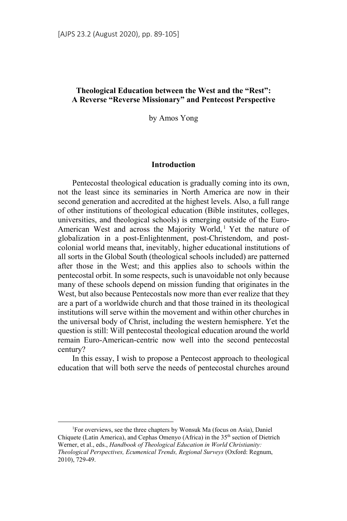# **Theological Education between the West and the "Rest": A Reverse "Reverse Missionary" and Pentecost Perspective**

by Amos Yong

### **Introduction**

Pentecostal theological education is gradually coming into its own, not the least since its seminaries in North America are now in their second generation and accredited at the highest levels. Also, a full range of other institutions of theological education (Bible institutes, colleges, universities, and theological schools) is emerging outside of the Euro-American West and across the Majority World,<sup>1</sup> Yet the nature of globalization in a post-Enlightenment, post-Christendom, and postcolonial world means that, inevitably, higher educational institutions of all sorts in the Global South (theological schools included) are patterned after those in the West; and this applies also to schools within the pentecostal orbit. In some respects, such is unavoidable not only because many of these schools depend on mission funding that originates in the West, but also because Pentecostals now more than ever realize that they are a part of a worldwide church and that those trained in its theological institutions will serve within the movement and within other churches in the universal body of Christ, including the western hemisphere. Yet the question is still: Will pentecostal theological education around the world remain Euro-American-centric now well into the second pentecostal century?

In this essay, I wish to propose a Pentecost approach to theological education that will both serve the needs of pentecostal churches around

 $\frac{1}{1}$ For overviews, see the three chapters by Wonsuk Ma (focus on Asia), Daniel Chiquete (Latin America), and Cephas Omenyo (Africa) in the 35<sup>th</sup> section of Dietrich Werner, et al., eds., *Handbook of Theological Education in World Christianity: Theological Perspectives, Ecumenical Trends, Regional Surveys* (Oxford: Regnum, 2010), 729-49.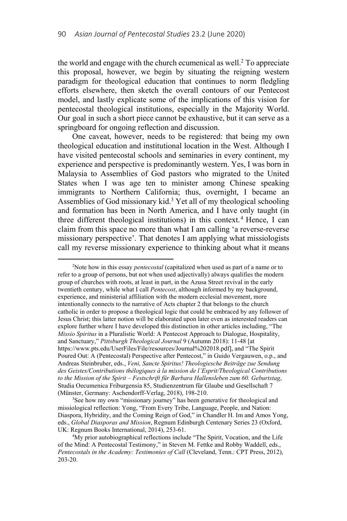the world and engage with the church ecumenical as well. $2$  To appreciate this proposal, however, we begin by situating the reigning western paradigm for theological education that continues to norm fledgling efforts elsewhere, then sketch the overall contours of our Pentecost model, and lastly explicate some of the implications of this vision for pentecostal theological institutions, especially in the Majority World. Our goal in such a short piece cannot be exhaustive, but it can serve as a springboard for ongoing reflection and discussion.

One caveat, however, needs to be registered: that being my own theological education and institutional location in the West. Although I have visited pentecostal schools and seminaries in every continent, my experience and perspective is predominantly western. Yes, I was born in Malaysia to Assemblies of God pastors who migrated to the United States when I was age ten to minister among Chinese speaking immigrants to Northern California; thus, overnight, I became an Assemblies of God missionary kid.<sup>3</sup> Yet all of my theological schooling and formation has been in North America, and I have only taught (in three different theological institutions) in this context.<sup>4</sup> Hence, I can claim from this space no more than what I am calling 'a reverse-reverse missionary perspective'. That denotes I am applying what missiologists call my reverse missionary experience to thinking about what it means

 $\overline{a}$ Note how in this essay *pentecostal* (capitalized when used as part of a name or to refer to a group of persons, but not when used adjectivally) always qualifies the modern group of churches with roots, at least in part, in the Azusa Street revival in the early twentieth century, while what I call *Pentecost*, although informed by my background, experience, and ministerial affiliation with the modern ecclesial movement, more intentionally connects to the narrative of Acts chapter 2 that belongs to the church catholic in order to propose a theological logic that could be embraced by any follower of Jesus Christ; this latter notion will be elaborated upon later even as interested readers can explore further where I have developed this distinction in other articles including, "The *Missio Spiritus* in a Pluralistic World: A Pentecost Approach to Dialogue, Hospitality, and Sanctuary," *Pittsburgh Theological Journal* 9 (Autumn 2018): 11-48 [at https://www.pts.edu/UserFiles/File/resources/Journal%202018.pdf], and "The Spirit Poured Out: A (Pentecostal) Perspective after Pentecost," in Guido Vergauwen, o.p., and Andreas Steinbruber, eds., *Veni, Sancte Spiritus! Theologiesche Beiträge zue Sendung des Geistes/Contributions thélogiques à la mission de l'Esprit/Theological Contributions to the Mission of the Spirit – Festschrift für Barbara Hallensleben zum 60. Geburtstag*, Studia Oecumenica Friburgensia 85, Studienzentrum für Glaube und Gesellschaft 7 (Münster, Germany: Aschendorff-Verlag, 2018), 198-210. 3

<sup>&</sup>lt;sup>3</sup>See how my own "missionary journey" has been generative for theological and missiological reflection: Yong, "From Every Tribe, Language, People, and Nation: Diaspora, Hybridity, and the Coming Reign of God," in Chandler H. Im and Amos Yong, eds., *Global Diasporas and Mission*, Regnum Edinburgh Centenary Series 23 (Oxford, UK: Regnum Books International, 2014), 253-61.

<sup>&</sup>lt;sup>4</sup>My prior autobiographical reflections include "The Spirit, Vocation, and the Life of the Mind: A Pentecostal Testimony," in Steven M. Fettke and Robby Waddell, eds., *Pentecostals in the Academy: Testimonies of Call* (Cleveland, Tenn.: CPT Press, 2012), 203-20.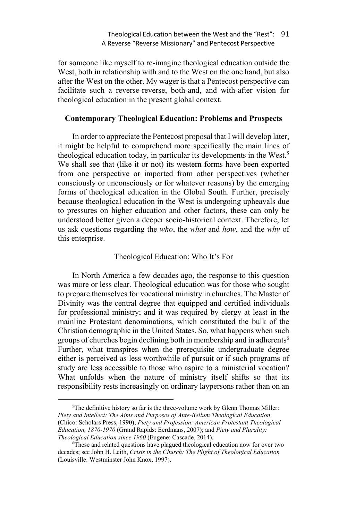for someone like myself to re-imagine theological education outside the West, both in relationship with and to the West on the one hand, but also after the West on the other. My wager is that a Pentecost perspective can facilitate such a reverse-reverse, both-and, and with-after vision for theological education in the present global context.

# **Contemporary Theological Education: Problems and Prospects**

In order to appreciate the Pentecost proposal that I will develop later, it might be helpful to comprehend more specifically the main lines of theological education today, in particular its developments in the West.<sup>5</sup> We shall see that (like it or not) its western forms have been exported from one perspective or imported from other perspectives (whether consciously or unconsciously or for whatever reasons) by the emerging forms of theological education in the Global South. Further, precisely because theological education in the West is undergoing upheavals due to pressures on higher education and other factors, these can only be understood better given a deeper socio-historical context. Therefore, let us ask questions regarding the *who*, the *what* and *how*, and the *why* of this enterprise.

# Theological Education: Who It's For

In North America a few decades ago, the response to this question was more or less clear. Theological education was for those who sought to prepare themselves for vocational ministry in churches. The Master of Divinity was the central degree that equipped and certified individuals for professional ministry; and it was required by clergy at least in the mainline Protestant denominations, which constituted the bulk of the Christian demographic in the United States. So, what happens when such groups of churches begin declining both in membership and in adherents<sup>6</sup> Further, what transpires when the prerequisite undergraduate degree either is perceived as less worthwhile of pursuit or if such programs of study are less accessible to those who aspire to a ministerial vocation? What unfolds when the nature of ministry itself shifts so that its responsibility rests increasingly on ordinary laypersons rather than on an

 $\frac{1}{5}$ <sup>5</sup>The definitive history so far is the three-volume work by Glenn Thomas Miller: *Piety and Intellect: The Aims and Purposes of Ante-Bellum Theological Education*  (Chico: Scholars Press, 1990); *Piety and Profession: American Protestant Theological Education, 1870-1970* (Grand Rapids: Eerdmans, 2007); and *Piety and Plurality: Theological Education since 1960* (Eugene: Cascade, 2014).

These and related questions have plagued theological education now for over two decades; see John H. Leith, *Crisis in the Church: The Plight of Theological Education* (Louisville: Westminster John Knox, 1997).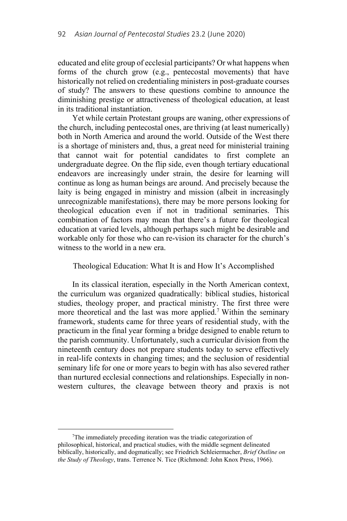educated and elite group of ecclesial participants? Or what happens when forms of the church grow (e.g., pentecostal movements) that have historically not relied on credentialing ministers in post-graduate courses of study? The answers to these questions combine to announce the diminishing prestige or attractiveness of theological education, at least in its traditional instantiation.

Yet while certain Protestant groups are waning, other expressions of the church, including pentecostal ones, are thriving (at least numerically) both in North America and around the world. Outside of the West there is a shortage of ministers and, thus, a great need for ministerial training that cannot wait for potential candidates to first complete an undergraduate degree. On the flip side, even though tertiary educational endeavors are increasingly under strain, the desire for learning will continue as long as human beings are around. And precisely because the laity is being engaged in ministry and mission (albeit in increasingly unrecognizable manifestations), there may be more persons looking for theological education even if not in traditional seminaries. This combination of factors may mean that there's a future for theological education at varied levels, although perhaps such might be desirable and workable only for those who can re-vision its character for the church's witness to the world in a new era.

# Theological Education: What It is and How It's Accomplished

In its classical iteration, especially in the North American context, the curriculum was organized quadratically: biblical studies, historical studies, theology proper, and practical ministry. The first three were more theoretical and the last was more applied.<sup>7</sup> Within the seminary framework, students came for three years of residential study, with the practicum in the final year forming a bridge designed to enable return to the parish community. Unfortunately, such a curricular division from the nineteenth century does not prepare students today to serve effectively in real-life contexts in changing times; and the seclusion of residential seminary life for one or more years to begin with has also severed rather than nurtured ecclesial connections and relationships. Especially in nonwestern cultures, the cleavage between theory and praxis is not

 $\frac{1}{7}$  $T$ The immediately preceding iteration was the triadic categorization of philosophical, historical, and practical studies, with the middle segment delineated biblically, historically, and dogmatically; see Friedrich Schleiermacher, *Brief Outline on the Study of Theology*, trans. Terrence N. Tice (Richmond: John Knox Press, 1966).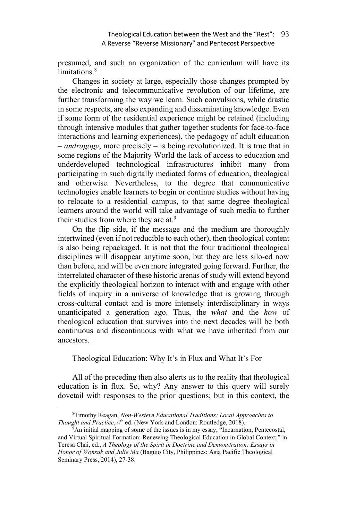presumed, and such an organization of the curriculum will have its limitations.<sup>8</sup>

Changes in society at large, especially those changes prompted by the electronic and telecommunicative revolution of our lifetime, are further transforming the way we learn. Such convulsions, while drastic in some respects, are also expanding and disseminating knowledge. Even if some form of the residential experience might be retained (including through intensive modules that gather together students for face-to-face interactions and learning experiences), the pedagogy of adult education – *andragogy*, more precisely – is being revolutionized. It is true that in some regions of the Majority World the lack of access to education and underdeveloped technological infrastructures inhibit many from participating in such digitally mediated forms of education, theological and otherwise. Nevertheless, to the degree that communicative technologies enable learners to begin or continue studies without having to relocate to a residential campus, to that same degree theological learners around the world will take advantage of such media to further their studies from where they are at.<sup>9</sup>

On the flip side, if the message and the medium are thoroughly intertwined (even if not reducible to each other), then theological content is also being repackaged. It is not that the four traditional theological disciplines will disappear anytime soon, but they are less silo-ed now than before, and will be even more integrated going forward. Further, the interrelated character of these historic arenas of study will extend beyond the explicitly theological horizon to interact with and engage with other fields of inquiry in a universe of knowledge that is growing through cross-cultural contact and is more intensely interdisciplinary in ways unanticipated a generation ago. Thus, the *what* and the *how* of theological education that survives into the next decades will be both continuous and discontinuous with what we have inherited from our ancestors.

Theological Education: Why It's in Flux and What It's For

All of the preceding then also alerts us to the reality that theological education is in flux. So, why? Any answer to this query will surely dovetail with responses to the prior questions; but in this context, the

 $\frac{1}{8}$ Timothy Reagan, *Non-Western Educational Traditions: Local Approaches to Thought and Practice*, 4<sup>th</sup> ed. (New York and London: Routledge, 2018).

An initial mapping of some of the issues is in my essay, "Incarnation, Pentecostal, and Virtual Spiritual Formation: Renewing Theological Education in Global Context," in Teresa Chai, ed., *A Theology of the Spirit in Doctrine and Demonstration: Essays in Honor of Wonsuk and Julie Ma* (Baguio City, Philippines: Asia Pacific Theological Seminary Press, 2014), 27-38.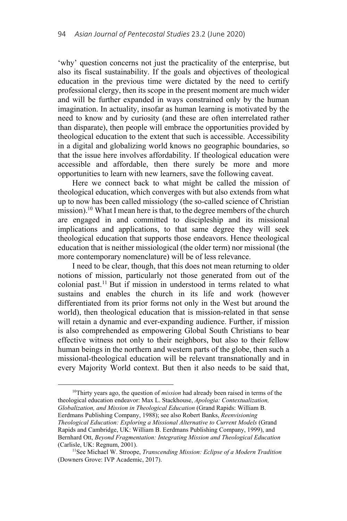'why' question concerns not just the practicality of the enterprise, but also its fiscal sustainability. If the goals and objectives of theological education in the previous time were dictated by the need to certify professional clergy, then its scope in the present moment are much wider and will be further expanded in ways constrained only by the human imagination. In actuality, insofar as human learning is motivated by the need to know and by curiosity (and these are often interrelated rather than disparate), then people will embrace the opportunities provided by theological education to the extent that such is accessible. Accessibility in a digital and globalizing world knows no geographic boundaries, so that the issue here involves affordability. If theological education were accessible and affordable, then there surely be more and more opportunities to learn with new learners, save the following caveat.

Here we connect back to what might be called the mission of theological education, which converges with but also extends from what up to now has been called missiology (the so-called science of Christian mission).<sup>10</sup> What I mean here is that, to the degree members of the church are engaged in and committed to discipleship and its missional implications and applications, to that same degree they will seek theological education that supports those endeavors. Hence theological education that is neither missiological (the older term) nor missional (the more contemporary nomenclature) will be of less relevance.

I need to be clear, though, that this does not mean returning to older notions of mission, particularly not those generated from out of the colonial past.11 But if mission in understood in terms related to what sustains and enables the church in its life and work (however differentiated from its prior forms not only in the West but around the world), then theological education that is mission-related in that sense will retain a dynamic and ever-expanding audience. Further, if mission is also comprehended as empowering Global South Christians to bear effective witness not only to their neighbors, but also to their fellow human beings in the northern and western parts of the globe, then such a missional-theological education will be relevant transnationally and in every Majority World context. But then it also needs to be said that,

 10Thirty years ago, the question of *mission* had already been raised in terms of the theological education endeavor: Max L. Stackhouse, *Apologia: Contextualization, Globalization, and Mission in Theological Education* (Grand Rapids: William B. Eerdmans Publishing Company, 1988); see also Robert Banks, *Reenvisioning Theological Education: Exploring a Missional Alternative to Current Models* (Grand Rapids and Cambridge, UK: William B. Eerdmans Publishing Company, 1999), and Bernhard Ott, *Beyond Fragmentation: Integrating Mission and Theological Education* (Carlisle, UK: Regnum, 2001).<br><sup>11</sup>See Michael W. Stroope, *Transcending Mission: Eclipse of a Modern Tradition* 

<sup>(</sup>Downers Grove: IVP Academic, 2017).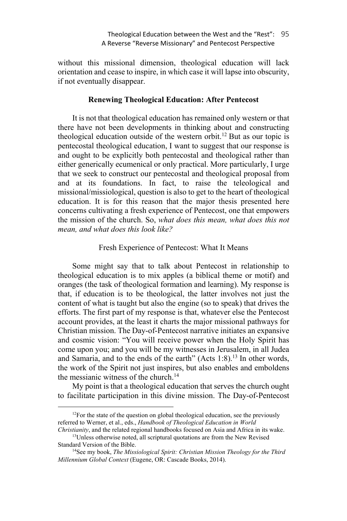without this missional dimension, theological education will lack orientation and cease to inspire, in which case it will lapse into obscurity, if not eventually disappear.

### **Renewing Theological Education: After Pentecost**

It is not that theological education has remained only western or that there have not been developments in thinking about and constructing theological education outside of the western orbit.<sup>12</sup> But as our topic is pentecostal theological education, I want to suggest that our response is and ought to be explicitly both pentecostal and theological rather than either generically ecumenical or only practical. More particularly, I urge that we seek to construct our pentecostal and theological proposal from and at its foundations. In fact, to raise the teleological and missional/missiological, question is also to get to the heart of theological education. It is for this reason that the major thesis presented here concerns cultivating a fresh experience of Pentecost, one that empowers the mission of the church. So, *what does this mean, what does this not mean, and what does this look like?* 

### Fresh Experience of Pentecost: What It Means

Some might say that to talk about Pentecost in relationship to theological education is to mix apples (a biblical theme or motif) and oranges (the task of theological formation and learning). My response is that, if education is to be theological, the latter involves not just the content of what is taught but also the engine (so to speak) that drives the efforts. The first part of my response is that, whatever else the Pentecost account provides, at the least it charts the major missional pathways for Christian mission. The Day-of-Pentecost narrative initiates an expansive and cosmic vision: "You will receive power when the Holy Spirit has come upon you; and you will be my witnesses in Jerusalem, in all Judea and Samaria, and to the ends of the earth"  $(Acts 1:8).<sup>13</sup>$  In other words, the work of the Spirit not just inspires, but also enables and emboldens the messianic witness of the church.<sup>14</sup>

My point is that a theological education that serves the church ought to facilitate participation in this divine mission. The Day-of-Pentecost

 $12$ For the state of the question on global theological education, see the previously referred to Werner, et al., eds., *Handbook of Theological Education in World*<br>Christianity, and the related regional handbooks focused on Asia and Africa in its wake.

<sup>&</sup>lt;sup>13</sup>Unless otherwise noted, all scriptural quotations are from the New Revised

Standard Version of the Bible.<br><sup>14</sup>See my book, *The Missiological Spirit: Christian Mission Theology for the Third Millennium Global Context* (Eugene, OR: Cascade Books, 2014).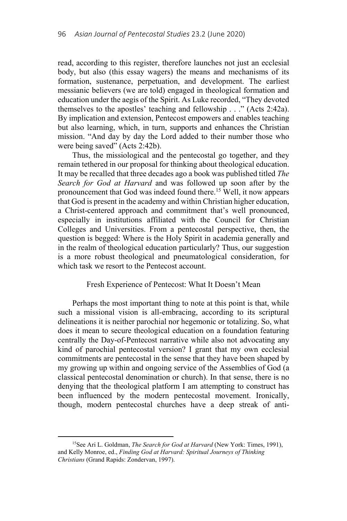read, according to this register, therefore launches not just an ecclesial body, but also (this essay wagers) the means and mechanisms of its formation, sustenance, perpetuation, and development. The earliest messianic believers (we are told) engaged in theological formation and education under the aegis of the Spirit. As Luke recorded, "They devoted themselves to the apostles' teaching and fellowship . . ." (Acts 2:42a). By implication and extension, Pentecost empowers and enables teaching but also learning, which, in turn, supports and enhances the Christian mission. "And day by day the Lord added to their number those who were being saved" (Acts 2:42b).

Thus, the missiological and the pentecostal go together, and they remain tethered in our proposal for thinking about theological education. It may be recalled that three decades ago a book was published titled *The Search for God at Harvard* and was followed up soon after by the pronouncement that God was indeed found there.<sup>15</sup> Well, it now appears that God is present in the academy and within Christian higher education, a Christ-centered approach and commitment that's well pronounced, especially in institutions affiliated with the Council for Christian Colleges and Universities. From a pentecostal perspective, then, the question is begged: Where is the Holy Spirit in academia generally and in the realm of theological education particularly? Thus, our suggestion is a more robust theological and pneumatological consideration, for which task we resort to the Pentecost account.

#### Fresh Experience of Pentecost: What It Doesn't Mean

Perhaps the most important thing to note at this point is that, while such a missional vision is all-embracing, according to its scriptural delineations it is neither parochial nor hegemonic or totalizing. So, what does it mean to secure theological education on a foundation featuring centrally the Day-of-Pentecost narrative while also not advocating any kind of parochial pentecostal version? I grant that my own ecclesial commitments are pentecostal in the sense that they have been shaped by my growing up within and ongoing service of the Assemblies of God (a classical pentecostal denomination or church). In that sense, there is no denying that the theological platform I am attempting to construct has been influenced by the modern pentecostal movement. Ironically, though, modern pentecostal churches have a deep streak of anti-

<sup>&</sup>lt;sup>15</sup>See Ari L. Goldman, *The Search for God at Harvard* (New York: Times, 1991), and Kelly Monroe, ed., *Finding God at Harvard: Spiritual Journeys of Thinking Christians* (Grand Rapids: Zondervan, 1997).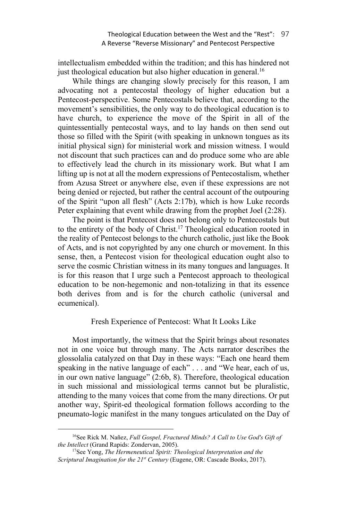### Theological Education between the West and the "Rest": 97 A Reverse "Reverse Missionary" and Pentecost Perspective

intellectualism embedded within the tradition; and this has hindered not just theological education but also higher education in general. 16

While things are changing slowly precisely for this reason, I am advocating not a pentecostal theology of higher education but a Pentecost-perspective. Some Pentecostals believe that, according to the movement's sensibilities, the only way to do theological education is to have church, to experience the move of the Spirit in all of the quintessentially pentecostal ways, and to lay hands on then send out those so filled with the Spirit (with speaking in unknown tongues as its initial physical sign) for ministerial work and mission witness. I would not discount that such practices can and do produce some who are able to effectively lead the church in its missionary work. But what I am lifting up is not at all the modern expressions of Pentecostalism, whether from Azusa Street or anywhere else, even if these expressions are not being denied or rejected, but rather the central account of the outpouring of the Spirit "upon all flesh" (Acts 2:17b), which is how Luke records Peter explaining that event while drawing from the prophet Joel (2:28).

The point is that Pentecost does not belong only to Pentecostals but to the entirety of the body of Christ.17 Theological education rooted in the reality of Pentecost belongs to the church catholic, just like the Book of Acts, and is not copyrighted by any one church or movement. In this sense, then, a Pentecost vision for theological education ought also to serve the cosmic Christian witness in its many tongues and languages. It is for this reason that I urge such a Pentecost approach to theological education to be non-hegemonic and non-totalizing in that its essence both derives from and is for the church catholic (universal and ecumenical).

# Fresh Experience of Pentecost: What It Looks Like

Most importantly, the witness that the Spirit brings about resonates not in one voice but through many. The Acts narrator describes the glossolalia catalyzed on that Day in these ways: "Each one heard them speaking in the native language of each" . . . and "We hear, each of us, in our own native language" (2:6b, 8). Therefore, theological education in such missional and missiological terms cannot but be pluralistic, attending to the many voices that come from the many directions. Or put another way, Spirit-ed theological formation follows according to the pneumato-logic manifest in the many tongues articulated on the Day of

<sup>&</sup>lt;sup>16</sup>See Rick M. Nañez, *Full Gospel, Fractured Minds? A Call to Use God's Gift of the Intellect* (Grand Rapids: Zondervan, 2005).<br><sup>17</sup>See Yong, *The Hermeneutical Spirit: Theological Interpretation and the* 

*Scriptural Imagination for the 21st Century* (Eugene, OR: Cascade Books, 2017).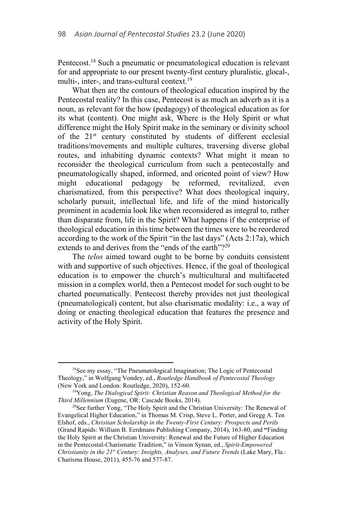Pentecost.18 Such a pneumatic or pneumatological education is relevant for and appropriate to our present twenty-first century pluralistic, glocal-, multi-, inter-, and trans-cultural context.<sup>19</sup>

What then are the contours of theological education inspired by the Pentecostal reality? In this case, Pentecost is as much an adverb as it is a noun, as relevant for the how (pedagogy) of theological education as for its what (content). One might ask, Where is the Holy Spirit or what difference might the Holy Spirit make in the seminary or divinity school of the 21st century constituted by students of different ecclesial traditions/movements and multiple cultures, traversing diverse global routes, and inhabiting dynamic contexts? What might it mean to reconsider the theological curriculum from such a pentecostally and pneumatologically shaped, informed, and oriented point of view? How might educational pedagogy be reformed, revitalized, even charismatized, from this perspective? What does theological inquiry, scholarly pursuit, intellectual life, and life of the mind historically prominent in academia look like when reconsidered as integral to, rather than disparate from, life in the Spirit? What happens if the enterprise of theological education in this time between the times were to be reordered according to the work of the Spirit "in the last days" (Acts 2:17a), which extends to and derives from the "ends of the earth"?<sup>20</sup>

The *telos* aimed toward ought to be borne by conduits consistent with and supportive of such objectives. Hence, if the goal of theological education is to empower the church's multicultural and multifaceted mission in a complex world, then a Pentecost model for such ought to be charted pneumatically. Pentecost thereby provides not just theological (pneumatological) content, but also charismatic modality: i.e., a way of doing or enacting theological education that features the presence and activity of the Holy Spirit.

 <sup>18</sup>See my essay, "The Pneumatological Imagination; The Logic of Pentecostal Theology," in Wolfgang Vondey, ed., *Routledge Handbook of Pentecostal Theology*

<sup>(</sup>New York and London: Routledge, 2020), 152-60.<br><sup>19</sup>Yong, *The Dialogical Spirit: Christian Reason and Theological Method for the <i>Third Millennium* (Eugene, OR: Cascade Books, 2014).

<sup>&</sup>lt;sup>20</sup>See further Yong, "The Holy Spirit and the Christian University: The Renewal of Evangelical Higher Education," in Thomas M. Crisp, Steve L. Porter, and Gregg A. Ten Elshof, eds., *Christian Scholarship in the Twenty-First Century: Prospects and Perils* (Grand Rapids: William B. Eerdmans Publishing Company, 2014), 163-80, and **"**Finding the Holy Spirit at the Christian University: Renewal and the Future of Higher Education in the Pentecostal-Charismatic Tradition," in Vinson Synan, ed., *Spirit-Empowered Christianity in the 21st Century: Insights, Analyses, and Future Trends* (Lake Mary, Fla.: Charisma House, 2011), 455-76 and 577-87.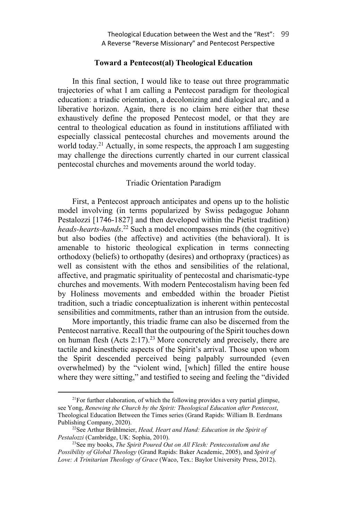# **Toward a Pentecost(al) Theological Education**

In this final section, I would like to tease out three programmatic trajectories of what I am calling a Pentecost paradigm for theological education: a triadic orientation, a decolonizing and dialogical arc, and a liberative horizon. Again, there is no claim here either that these exhaustively define the proposed Pentecost model, or that they are central to theological education as found in institutions affiliated with especially classical pentecostal churches and movements around the world today.<sup>21</sup> Actually, in some respects, the approach I am suggesting may challenge the directions currently charted in our current classical pentecostal churches and movements around the world today.

# Triadic Orientation Paradigm

First, a Pentecost approach anticipates and opens up to the holistic model involving (in terms popularized by Swiss pedagogue Johann Pestalozzi [1746-1827] and then developed within the Pietist tradition) *heads-hearts-hands*. 22 Such a model encompasses minds (the cognitive) but also bodies (the affective) and activities (the behavioral). It is amenable to historic theological explication in terms connecting orthodoxy (beliefs) to orthopathy (desires) and orthopraxy (practices) as well as consistent with the ethos and sensibilities of the relational, affective, and pragmatic spirituality of pentecostal and charismatic-type churches and movements. With modern Pentecostalism having been fed by Holiness movements and embedded within the broader Pietist tradition, such a triadic conceptualization is inherent within pentecostal sensibilities and commitments, rather than an intrusion from the outside.

More importantly, this triadic frame can also be discerned from the Pentecost narrative. Recall that the outpouring of the Spirit touches down on human flesh (Acts  $2:17$ ).<sup>23</sup> More concretely and precisely, there are tactile and kinesthetic aspects of the Spirit's arrival. Those upon whom the Spirit descended perceived being palpably surrounded (even overwhelmed) by the "violent wind, [which] filled the entire house where they were sitting," and testified to seeing and feeling the "divided

 $2^{1}$ For further elaboration, of which the following provides a very partial glimpse, see Yong, *Renewing the Church by the Spirit: Theological Education after Pentecost*, Theological Education Between the Times series (Grand Rapids: William B. Eerdmans Publishing Company, 2020). 22See Arthur Brühlmeier, *Head, Heart and Hand: Education in the Spirit of* 

*Pestalozzi* (Cambridge, UK: Sophia, 2010).<br><sup>23</sup>See my books, *The Spirit Poured Out on All Flesh: Pentecostalism and the* 

*Possibility of Global Theology* (Grand Rapids: Baker Academic, 2005), and *Spirit of Love: A Trinitarian Theology of Grace* (Waco, Tex.: Baylor University Press, 2012).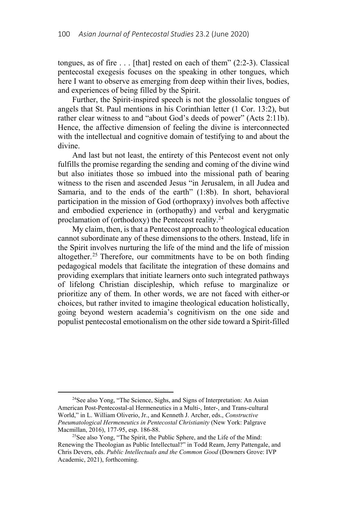tongues, as of fire  $\dots$  [that] rested on each of them" (2:2-3). Classical pentecostal exegesis focuses on the speaking in other tongues, which here I want to observe as emerging from deep within their lives, bodies, and experiences of being filled by the Spirit.

Further, the Spirit-inspired speech is not the glossolalic tongues of angels that St. Paul mentions in his Corinthian letter (1 Cor. 13:2), but rather clear witness to and "about God's deeds of power" (Acts 2:11b). Hence, the affective dimension of feeling the divine is interconnected with the intellectual and cognitive domain of testifying to and about the divine.

And last but not least, the entirety of this Pentecost event not only fulfills the promise regarding the sending and coming of the divine wind but also initiates those so imbued into the missional path of bearing witness to the risen and ascended Jesus "in Jerusalem, in all Judea and Samaria, and to the ends of the earth" (1:8b). In short, behavioral participation in the mission of God (orthopraxy) involves both affective and embodied experience in (orthopathy) and verbal and kerygmatic proclamation of (orthodoxy) the Pentecost reality.24

My claim, then, is that a Pentecost approach to theological education cannot subordinate any of these dimensions to the others. Instead, life in the Spirit involves nurturing the life of the mind and the life of mission altogether.<sup>25</sup> Therefore, our commitments have to be on both finding pedagogical models that facilitate the integration of these domains and providing exemplars that initiate learners onto such integrated pathways of lifelong Christian discipleship, which refuse to marginalize or prioritize any of them. In other words, we are not faced with either-or choices, but rather invited to imagine theological education holistically, going beyond western academia's cognitivism on the one side and populist pentecostal emotionalism on the other side toward a Spirit-filled

 <sup>24</sup>See also Yong, "The Science, Sighs, and Signs of Interpretation: An Asian American Post-Pentecostal-al Hermeneutics in a Multi-, Inter-, and Trans-cultural World," in L. William Oliverio, Jr., and Kenneth J. Archer, eds., *Constructive Pneumatological Hermeneutics in Pentecostal Christianity (New York: Palgrave Macmillan, 2016), 177-95, esp. 186-88.* 

<sup>&</sup>lt;sup>25</sup>See also Yong, "The Spirit, the Public Sphere, and the Life of the Mind: Renewing the Theologian as Public Intellectual?" in Todd Ream, Jerry Pattengale, and Chris Devers, eds. *Public Intellectuals and the Common Good* (Downers Grove: IVP Academic, 2021), forthcoming.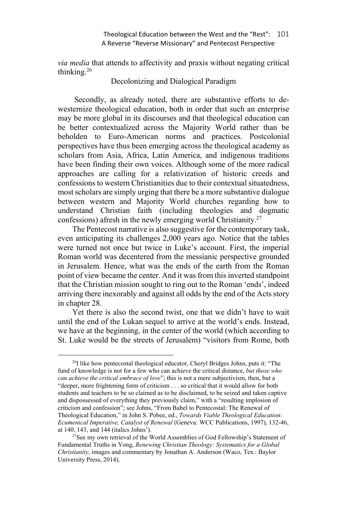*via media* that attends to affectivity and praxis without negating critical thinking.26

Decolonizing and Dialogical Paradigm

 Secondly, as already noted, there are substantive efforts to dewesternize theological education, both in order that such an enterprise may be more global in its discourses and that theological education can be better contextualized across the Majority World rather than be beholden to Euro-American norms and practices. Postcolonial perspectives have thus been emerging across the theological academy as scholars from Asia, Africa, Latin America, and indigenous traditions have been finding their own voices. Although some of the more radical approaches are calling for a relativization of historic creeds and confessions to western Christianities due to their contextual situatedness, most scholars are simply urging that there be a more substantive dialogue between western and Majority World churches regarding how to understand Christian faith (including theologies and dogmatic confessions) afresh in the newly emerging world Christianity.27

The Pentecost narrative is also suggestive for the contemporary task, even anticipating its challenges 2,000 years ago. Notice that the tables were turned not once but twice in Luke's account. First, the imperial Roman world was decentered from the messianic perspective grounded in Jerusalem. Hence, what was the ends of the earth from the Roman point of view became the center. And it was from this inverted standpoint that the Christian mission sought to ring out to the Roman 'ends', indeed arriving there inexorably and against all odds by the end of the Acts story in chapter 28.

Yet there is also the second twist, one that we didn't have to wait until the end of the Lukan sequel to arrive at the world's ends. Instead, we have at the beginning, in the center of the world (which according to St. Luke would be the streets of Jerusalem) "visitors from Rome, both

 $^{26}$ I like how pentecostal theological educator, Cheryl Bridges Johns, puts it: "The fund of knowledge is not for a few who can achieve the critical distance, *but those who can achieve the critical embrace of love*"; this is not a mere subjectivism, then, but a "deeper, more frightening form of criticism . . . so critical that it would allow for both students and teachers to be so claimed as to be disclaimed, to be seized and taken captive and dispossessed of everything they previously claim," with a "resulting implosion of criticism and confession"; see Johns, "From Babel to Pentecostal: The Renewal of Theological Education," in John S. Pobee, ed., *Towards Viable Theological Education: Ecumenical Imperative, Catalyst of Renewal* (Geneva: WCC Publications, 1997), 132-46, at 140, 143, and 144 (italics Johns').

<sup>&</sup>lt;sup>27</sup>See my own retrieval of the World Assemblies of God Fellowship's Statement of Fundamental Truths in Yong, *Renewing Christian Theology: Systematics for a Global Christianity*, images and commentary by Jonathan A. Anderson (Waco, Tex.: Baylor University Press, 2014).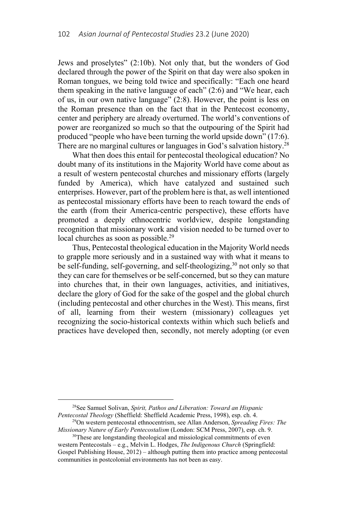Jews and proselytes" (2:10b). Not only that, but the wonders of God declared through the power of the Spirit on that day were also spoken in Roman tongues, we being told twice and specifically: "Each one heard them speaking in the native language of each" (2:6) and "We hear, each of us, in our own native language" (2:8). However, the point is less on the Roman presence than on the fact that in the Pentecost economy, center and periphery are already overturned. The world's conventions of power are reorganized so much so that the outpouring of the Spirit had produced "people who have been turning the world upside down" (17:6). There are no marginal cultures or languages in God's salvation history.<sup>28</sup>

What then does this entail for pentecostal theological education? No doubt many of its institutions in the Majority World have come about as a result of western pentecostal churches and missionary efforts (largely funded by America), which have catalyzed and sustained such enterprises. However, part of the problem here is that, as well intentioned as pentecostal missionary efforts have been to reach toward the ends of the earth (from their America-centric perspective), these efforts have promoted a deeply ethnocentric worldview, despite longstanding recognition that missionary work and vision needed to be turned over to local churches as soon as possible.<sup>29</sup>

Thus, Pentecostal theological education in the Majority World needs to grapple more seriously and in a sustained way with what it means to be self-funding, self-governing, and self-theologizing,<sup>30</sup> not only so that they can care for themselves or be self-concerned, but so they can mature into churches that, in their own languages, activities, and initiatives, declare the glory of God for the sake of the gospel and the global church (including pentecostal and other churches in the West). This means, first of all, learning from their western (missionary) colleagues yet recognizing the socio-historical contexts within which such beliefs and practices have developed then, secondly, not merely adopting (or even

 <sup>28</sup>See Samuel Solivan, *Spirit, Pathos and Liberation: Toward an Hispanic* 

*Pentecostal Theology (Sheffield: Sheffield Academic Press, 1998), esp. ch. 4.* <sup>29</sup>On western pentecostal ethnocentrism, see Allan Anderson, *Spreading Fires: The Missionary Nature of Early Pentecostalism (London: SCM Pre* 

<sup>&</sup>lt;sup>30</sup>These are longstanding theological and missiological commitments of even western Pentecostals – e.g., Melvin L. Hodges, *The Indigenous Church* (Springfield: Gospel Publishing House, 2012) – although putting them into practice among pentecostal communities in postcolonial environments has not been as easy.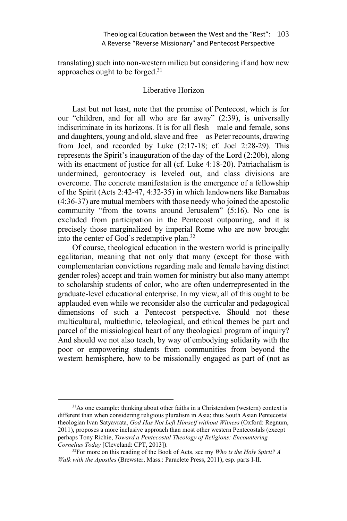translating) such into non-western milieu but considering if and how new approaches ought to be forged.31

# Liberative Horizon

Last but not least, note that the promise of Pentecost, which is for our "children, and for all who are far away" (2:39), is universally indiscriminate in its horizons. It is for all flesh—male and female, sons and daughters, young and old, slave and free—as Peter recounts, drawing from Joel, and recorded by Luke (2:17-18; cf. Joel 2:28-29). This represents the Spirit's inauguration of the day of the Lord (2:20b), along with its enactment of justice for all (cf. Luke 4:18-20). Patriachalism is undermined, gerontocracy is leveled out, and class divisions are overcome. The concrete manifestation is the emergence of a fellowship of the Spirit (Acts 2:42-47, 4:32-35) in which landowners like Barnabas (4:36-37) are mutual members with those needy who joined the apostolic community "from the towns around Jerusalem" (5:16). No one is excluded from participation in the Pentecost outpouring, and it is precisely those marginalized by imperial Rome who are now brought into the center of God's redemptive plan.32

Of course, theological education in the western world is principally egalitarian, meaning that not only that many (except for those with complementarian convictions regarding male and female having distinct gender roles) accept and train women for ministry but also many attempt to scholarship students of color, who are often underrepresented in the graduate-level educational enterprise. In my view, all of this ought to be applauded even while we reconsider also the curricular and pedagogical dimensions of such a Pentecost perspective. Should not these multicultural, multiethnic, teleological, and ethical themes be part and parcel of the missiological heart of any theological program of inquiry? And should we not also teach, by way of embodying solidarity with the poor or empowering students from communities from beyond the western hemisphere, how to be missionally engaged as part of (not as

<sup>&</sup>lt;sup>31</sup>As one example: thinking about other faiths in a Christendom (western) context is different than when considering religious pluralism in Asia; thus South Asian Pentecostal theologian Ivan Satyavrata, *God Has Not Left Himself without Witness* (Oxford: Regnum, 2011), proposes a more inclusive approach than most other western Pentecostals (except perhaps Tony Richie, *Toward a Pentecostal Theology of Religions: Encountering Cornelius Today* [Cleveland: CPT, 2013]).

<sup>32</sup>For more on this reading of the Book of Acts, see my *Who is the Holy Spirit? A Walk with the Apostles* (Brewster, Mass.: Paraclete Press, 2011), esp. parts I-II.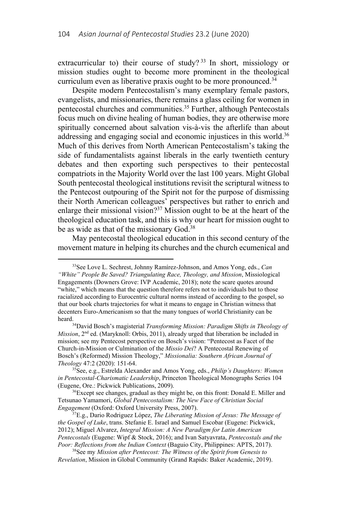extracurricular to) their course of study?<sup>33</sup> In short, missiology or mission studies ought to become more prominent in the theological curriculum even as liberative praxis ought to be more pronounced.<sup>34</sup>

Despite modern Pentecostalism's many exemplary female pastors, evangelists, and missionaries, there remains a glass ceiling for women in pentecostal churches and communities.35 Further, although Pentecostals focus much on divine healing of human bodies, they are otherwise more spiritually concerned about salvation vis-à-vis the afterlife than about addressing and engaging social and economic injustices in this world.<sup>36</sup> Much of this derives from North American Pentecostalism's taking the side of fundamentalists against liberals in the early twentieth century debates and then exporting such perspectives to their pentecostal compatriots in the Majority World over the last 100 years. Might Global South pentecostal theological institutions revisit the scriptural witness to the Pentecost outpouring of the Spirit not for the purpose of dismissing their North American colleagues' perspectives but rather to enrich and enlarge their missional vision?<sup>37</sup> Mission ought to be at the heart of the theological education task, and this is why our heart for mission ought to be as wide as that of the missionary God.<sup>38</sup>

May pentecostal theological education in this second century of the movement mature in helping its churches and the church ecumenical and

Tetsunao Yamamori, *Global Pentecostalism: The New Face of Christian Social Engagement* (Oxford: Oxford University Press, 2007). 37E.g., Dario Rodriguez López, *The Liberating Mission of Jesus: The Message of* 

 <sup>33</sup>See Love L. Sechrest, Johnny Ramírez-Johnson, and Amos Yong, eds., *Can "White" People Be Saved? Triangulating Race, Theology, and Mission*, Missiological Engagements (Downers Grove: IVP Academic, 2018); note the scare quotes around "white," which means that the question therefore refers not to individuals but to those racialized according to Eurocentric cultural norms instead of according to the gospel, so that our book charts trajectories for what it means to engage in Christian witness that decenters Euro-Americanism so that the many tongues of world Christianity can be heard. 34David Bosch's magisterial *Transforming Mission: Paradigm Shifts in Theology of* 

*Mission*, 2<sup>nd</sup> ed. (Maryknoll: Orbis, 2011), already urged that liberation be included in mission; see my Pentecost perspective on Bosch's vision: "Pentecost as Facet of the Church-in-Mission or Culmination of the *Missio Dei*? A Pentecostal Renewing of Bosch's (Reformed) Mission Theology," *Missionalia: Southern African Journal of Theology* 47:2 (2020): 151-64.<br><sup>35</sup>See, e.g., Estrelda Alexander and Amos Yong, eds., *Philip's Daughters: Women* 

*in Pentecostal-Charismatic Leadership*, Princeton Theological Monographs Series 104 (Eugene, Ore.: Pickwick Publications, 2009).<br><sup>36</sup>Except see changes, gradual as they might be, on this front: Donald E. Miller and

*the Gospel of Luke*, trans. Stefanie E. Israel and Samuel Escobar (Eugene: Pickwick, 2012); Miguel Alvarez, *Integral Mission: A New Paradigm for Latin American Pentecostals* (Eugene: Wipf & Stock, 2016); and Ivan Satyavrata, *Pentecostals and the Poor: Reflections from the Indian Context* (Baguio City, Philippines: APTS, 2017). 38See my *Mission after Pentecost: The Witness of the Spirit from Genesis to* 

*Revelation*, Mission in Global Community (Grand Rapids: Baker Academic, 2019).